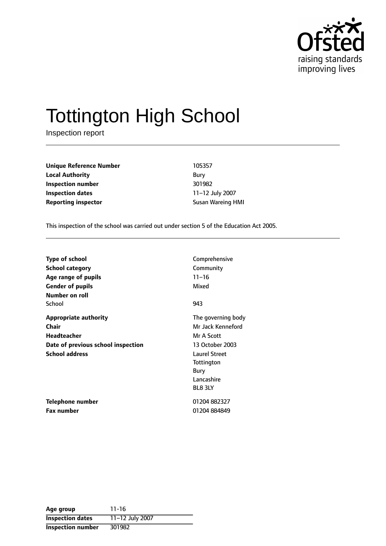

# Tottington High School

Inspection report

**Unique Reference Number** 105357 **Local Authority** Bury **Inspection number** 301982 **Inspection dates** 11-12 July 2007 **Reporting inspector Susan Wareing HMI** 

This inspection of the school was carried out under section 5 of the Education Act 2005.

| <b>Type of school</b>              | Comprehensive        |
|------------------------------------|----------------------|
| School category                    | Community            |
| Age range of pupils                | $11 - 16$            |
| <b>Gender of pupils</b>            | Mixed                |
| Number on roll                     |                      |
| School                             | 943                  |
| Appropriate authority              | The governing body   |
| Chair                              | Mr Jack Kenneford    |
| <b>Headteacher</b>                 | Mr A Scott           |
| Date of previous school inspection | 13 October 2003      |
| <b>School address</b>              | <b>Laurel Street</b> |
|                                    | Tottington           |
|                                    | Bury                 |
|                                    | Lancashire           |
|                                    | BL8 3LY              |
| <b>Telephone number</b>            | 01204882327          |
| <b>Fax number</b>                  | 01204 884849         |

| Age group                | $11 - 16$       |
|--------------------------|-----------------|
| <b>Inspection dates</b>  | 11-12 July 2007 |
| <b>Inspection number</b> | 301982          |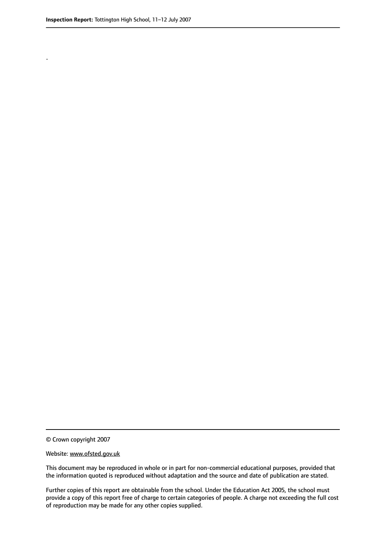.

© Crown copyright 2007

#### Website: www.ofsted.gov.uk

This document may be reproduced in whole or in part for non-commercial educational purposes, provided that the information quoted is reproduced without adaptation and the source and date of publication are stated.

Further copies of this report are obtainable from the school. Under the Education Act 2005, the school must provide a copy of this report free of charge to certain categories of people. A charge not exceeding the full cost of reproduction may be made for any other copies supplied.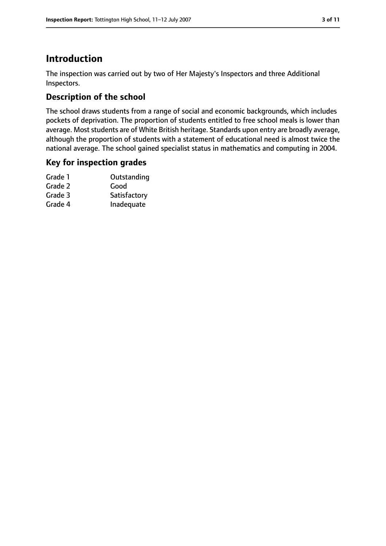## **Introduction**

The inspection was carried out by two of Her Majesty's Inspectors and three Additional Inspectors.

## **Description of the school**

The school draws students from a range of social and economic backgrounds, which includes pockets of deprivation. The proportion of students entitled to free school meals is lower than average. Most students are of White British heritage. Standards upon entry are broadly average, although the proportion of students with a statement of educational need is almost twice the national average. The school gained specialist status in mathematics and computing in 2004.

#### **Key for inspection grades**

| Grade 1 | Outstanding  |
|---------|--------------|
| Grade 2 | Good         |
| Grade 3 | Satisfactory |
| Grade 4 | Inadequate   |
|         |              |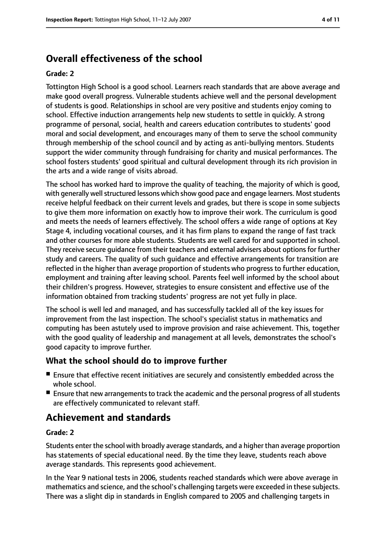## **Overall effectiveness of the school**

#### **Grade: 2**

Tottington High School is a good school. Learners reach standards that are above average and make good overall progress. Vulnerable students achieve well and the personal development of students is good. Relationships in school are very positive and students enjoy coming to school. Effective induction arrangements help new students to settle in quickly. A strong programme of personal, social, health and careers education contributes to students' good moral and social development, and encourages many of them to serve the school community through membership of the school council and by acting as anti-bullying mentors. Students support the wider community through fundraising for charity and musical performances. The school fosters students' good spiritual and cultural development through its rich provision in the arts and a wide range of visits abroad.

The school has worked hard to improve the quality of teaching, the majority of which is good, with generally well structured lessons which show good pace and engage learners. Most students receive helpful feedback on their current levels and grades, but there is scope in some subjects to give them more information on exactly how to improve their work. The curriculum is good and meets the needs of learners effectively. The school offers a wide range of options at Key Stage 4, including vocational courses, and it has firm plans to expand the range of fast track and other courses for more able students. Students are well cared for and supported in school. They receive secure guidance from their teachers and external advisers about options for further study and careers. The quality of such guidance and effective arrangements for transition are reflected in the higher than average proportion of students who progress to further education, employment and training after leaving school. Parents feel well informed by the school about their children's progress. However, strategies to ensure consistent and effective use of the information obtained from tracking students' progress are not yet fully in place.

The school is well led and managed, and has successfully tackled all of the key issues for improvement from the last inspection. The school's specialist status in mathematics and computing has been astutely used to improve provision and raise achievement. This, together with the good quality of leadership and management at all levels, demonstrates the school's good capacity to improve further.

#### **What the school should do to improve further**

- Ensure that effective recent initiatives are securely and consistently embedded across the whole school.
- Ensure that new arrangements to track the academic and the personal progress of all students are effectively communicated to relevant staff.

## **Achievement and standards**

#### **Grade: 2**

Students enter the school with broadly average standards, and a higher than average proportion has statements of special educational need. By the time they leave, students reach above average standards. This represents good achievement.

In the Year 9 national tests in 2006, students reached standards which were above average in mathematics and science, and the school's challenging targets were exceeded in these subjects. There was a slight dip in standards in English compared to 2005 and challenging targets in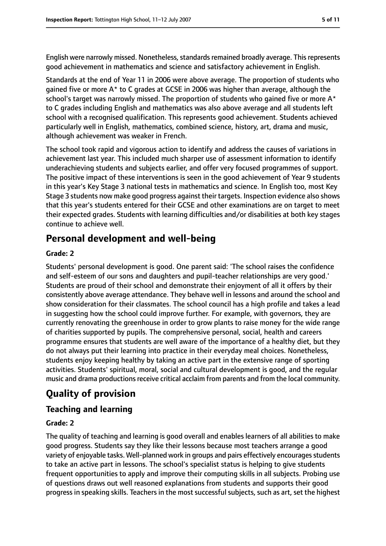English were narrowly missed. Nonetheless, standards remained broadly average. This represents good achievement in mathematics and science and satisfactory achievement in English.

Standards at the end of Year 11 in 2006 were above average. The proportion of students who gained five or more A\* to C grades at GCSE in 2006 was higher than average, although the school's target was narrowly missed. The proportion of students who gained five or more A\* to C grades including English and mathematics was also above average and all students left school with a recognised qualification. This represents good achievement. Students achieved particularly well in English, mathematics, combined science, history, art, drama and music, although achievement was weaker in French.

The school took rapid and vigorous action to identify and address the causes of variations in achievement last year. This included much sharper use of assessment information to identify underachieving students and subjects earlier, and offer very focused programmes of support. The positive impact of these interventions is seen in the good achievement of Year 9 students in this year's Key Stage 3 national tests in mathematics and science. In English too, most Key Stage 3 students now make good progress against their targets. Inspection evidence also shows that this year's students entered for their GCSE and other examinations are on target to meet their expected grades. Students with learning difficulties and/or disabilities at both key stages continue to achieve well.

## **Personal development and well-being**

#### **Grade: 2**

Students' personal development is good. One parent said: 'The school raises the confidence and self-esteem of our sons and daughters and pupil-teacher relationships are very good.' Students are proud of their school and demonstrate their enjoyment of all it offers by their consistently above average attendance. They behave well in lessons and around the school and show consideration for their classmates. The school council has a high profile and takes a lead in suggesting how the school could improve further. For example, with governors, they are currently renovating the greenhouse in order to grow plants to raise money for the wide range of charities supported by pupils. The comprehensive personal, social, health and careers programme ensures that students are well aware of the importance of a healthy diet, but they do not always put their learning into practice in their everyday meal choices. Nonetheless, students enjoy keeping healthy by taking an active part in the extensive range of sporting activities. Students' spiritual, moral, social and cultural development is good, and the regular music and drama productions receive critical acclaim from parents and from the local community.

## **Quality of provision**

#### **Teaching and learning**

#### **Grade: 2**

The quality of teaching and learning is good overall and enables learners of all abilities to make good progress. Students say they like their lessons because most teachers arrange a good variety of enjoyable tasks. Well-planned work in groups and pairs effectively encouragesstudents to take an active part in lessons. The school's specialist status is helping to give students frequent opportunities to apply and improve their computing skills in all subjects. Probing use of questions draws out well reasoned explanations from students and supports their good progress in speaking skills. Teachers in the most successful subjects, such as art, set the highest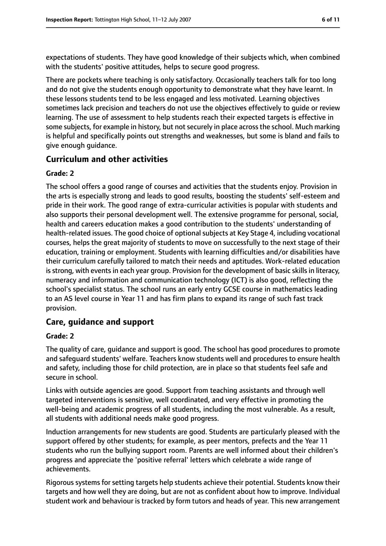expectations of students. They have good knowledge of their subjects which, when combined with the students' positive attitudes, helps to secure good progress.

There are pockets where teaching is only satisfactory. Occasionally teachers talk for too long and do not give the students enough opportunity to demonstrate what they have learnt. In these lessons students tend to be less engaged and less motivated. Learning objectives sometimes lack precision and teachers do not use the objectives effectively to guide or review learning. The use of assessment to help students reach their expected targets is effective in some subjects, for example in history, but not securely in place across the school. Much marking is helpful and specifically points out strengths and weaknesses, but some is bland and fails to give enough guidance.

#### **Curriculum and other activities**

#### **Grade: 2**

The school offers a good range of courses and activities that the students enjoy. Provision in the arts is especially strong and leads to good results, boosting the students' self-esteem and pride in their work. The good range of extra-curricular activities is popular with students and also supports their personal development well. The extensive programme for personal, social, health and careers education makes a good contribution to the students' understanding of health-related issues. The good choice of optional subjects at Key Stage 4, including vocational courses, helps the great majority of students to move on successfully to the next stage of their education, training or employment. Students with learning difficulties and/or disabilities have their curriculum carefully tailored to match their needs and aptitudes. Work-related education is strong, with events in each year group. Provision for the development of basic skills in literacy, numeracy and information and communication technology (ICT) is also good, reflecting the school's specialist status. The school runs an early entry GCSE course in mathematics leading to an AS level course in Year 11 and has firm plans to expand its range of such fast track provision.

#### **Care, guidance and support**

#### **Grade: 2**

The quality of care, guidance and support is good. The school has good procedures to promote and safeguard students' welfare. Teachers know students well and procedures to ensure health and safety, including those for child protection, are in place so that students feel safe and secure in school.

Links with outside agencies are good. Support from teaching assistants and through well targeted interventions is sensitive, well coordinated, and very effective in promoting the well-being and academic progress of all students, including the most vulnerable. As a result, all students with additional needs make good progress.

Induction arrangements for new students are good. Students are particularly pleased with the support offered by other students; for example, as peer mentors, prefects and the Year 11 students who run the bullying support room. Parents are well informed about their children's progress and appreciate the 'positive referral' letters which celebrate a wide range of achievements.

Rigorous systems for setting targets help students achieve their potential. Students know their targets and how well they are doing, but are not as confident about how to improve. Individual student work and behaviour is tracked by form tutors and heads of year. This new arrangement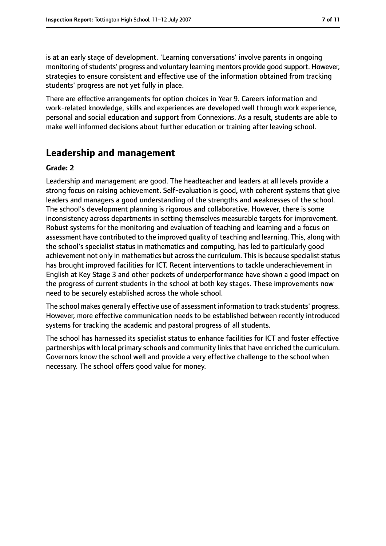is at an early stage of development. 'Learning conversations' involve parents in ongoing monitoring of students' progress and voluntary learning mentors provide good support. However, strategies to ensure consistent and effective use of the information obtained from tracking students' progress are not yet fully in place.

There are effective arrangements for option choices in Year 9. Careers information and work-related knowledge, skills and experiences are developed well through work experience, personal and social education and support from Connexions. As a result, students are able to make well informed decisions about further education or training after leaving school.

## **Leadership and management**

#### **Grade: 2**

Leadership and management are good. The headteacher and leaders at all levels provide a strong focus on raising achievement. Self-evaluation is good, with coherent systems that give leaders and managers a good understanding of the strengths and weaknesses of the school. The school's development planning is rigorous and collaborative. However, there is some inconsistency across departments in setting themselves measurable targets for improvement. Robust systems for the monitoring and evaluation of teaching and learning and a focus on assessment have contributed to the improved quality of teaching and learning. This, along with the school's specialist status in mathematics and computing, has led to particularly good achievement not only in mathematics but across the curriculum. This is because specialist status has brought improved facilities for ICT. Recent interventions to tackle underachievement in English at Key Stage 3 and other pockets of underperformance have shown a good impact on the progress of current students in the school at both key stages. These improvements now need to be securely established across the whole school.

The school makes generally effective use of assessment information to track students' progress. However, more effective communication needs to be established between recently introduced systems for tracking the academic and pastoral progress of all students.

The school has harnessed its specialist status to enhance facilities for ICT and foster effective partnerships with local primary schools and community linksthat have enriched the curriculum. Governors know the school well and provide a very effective challenge to the school when necessary. The school offers good value for money.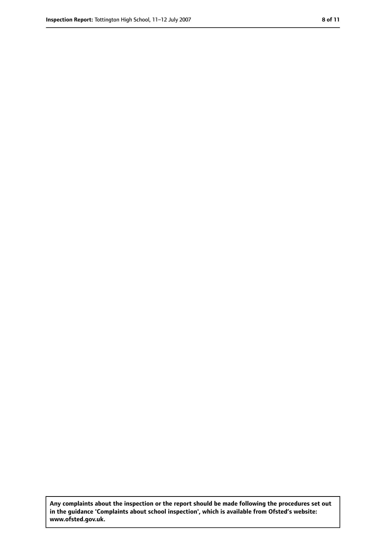**Any complaints about the inspection or the report should be made following the procedures set out in the guidance 'Complaints about school inspection', which is available from Ofsted's website: www.ofsted.gov.uk.**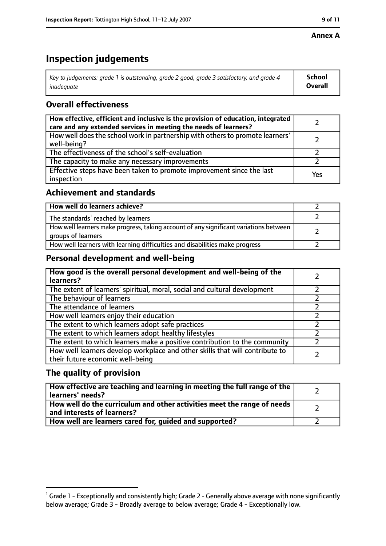#### **Annex A**

## **Inspection judgements**

| Key to judgements: grade 1 is outstanding, grade 2 good, grade 3 satisfactory, and grade 4 | <b>School</b>  |
|--------------------------------------------------------------------------------------------|----------------|
| inadeauate                                                                                 | <b>Overall</b> |

#### **Overall effectiveness**

| How effective, efficient and inclusive is the provision of education, integrated<br>care and any extended services in meeting the needs of learners? |     |
|------------------------------------------------------------------------------------------------------------------------------------------------------|-----|
| How well does the school work in partnership with others to promote learners'<br>well-being?                                                         |     |
| The effectiveness of the school's self-evaluation                                                                                                    |     |
| The capacity to make any necessary improvements                                                                                                      |     |
| Effective steps have been taken to promote improvement since the last<br>inspection                                                                  | Yes |

#### **Achievement and standards**

| How well do learners achieve?                                                                               |  |
|-------------------------------------------------------------------------------------------------------------|--|
| The standards <sup>1</sup> reached by learners                                                              |  |
| How well learners make progress, taking account of any significant variations between<br>groups of learners |  |
| How well learners with learning difficulties and disabilities make progress                                 |  |

#### **Personal development and well-being**

| How good is the overall personal development and well-being of the<br>learners?                                  |  |
|------------------------------------------------------------------------------------------------------------------|--|
| The extent of learners' spiritual, moral, social and cultural development                                        |  |
| The behaviour of learners                                                                                        |  |
| The attendance of learners                                                                                       |  |
| How well learners enjoy their education                                                                          |  |
| The extent to which learners adopt safe practices                                                                |  |
| The extent to which learners adopt healthy lifestyles                                                            |  |
| The extent to which learners make a positive contribution to the community                                       |  |
| How well learners develop workplace and other skills that will contribute to<br>their future economic well-being |  |

#### **The quality of provision**

| How effective are teaching and learning in meeting the full range of the<br>learners' needs?          |  |
|-------------------------------------------------------------------------------------------------------|--|
| How well do the curriculum and other activities meet the range of needs<br>and interests of learners? |  |
| How well are learners cared for, guided and supported?                                                |  |

 $^1$  Grade 1 - Exceptionally and consistently high; Grade 2 - Generally above average with none significantly below average; Grade 3 - Broadly average to below average; Grade 4 - Exceptionally low.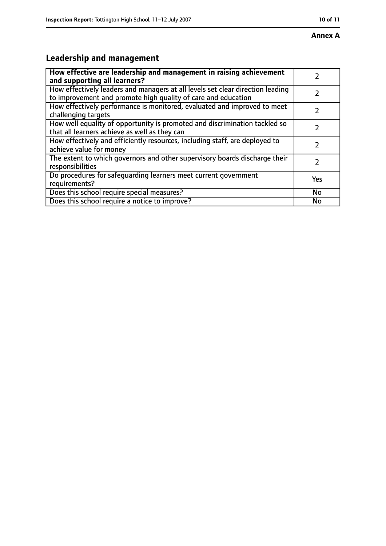# **Leadership and management**

| How effective are leadership and management in raising achievement                                                                              |               |
|-------------------------------------------------------------------------------------------------------------------------------------------------|---------------|
| and supporting all learners?                                                                                                                    |               |
| How effectively leaders and managers at all levels set clear direction leading<br>to improvement and promote high quality of care and education |               |
| How effectively performance is monitored, evaluated and improved to meet<br>challenging targets                                                 |               |
| How well equality of opportunity is promoted and discrimination tackled so<br>that all learners achieve as well as they can                     |               |
| How effectively and efficiently resources, including staff, are deployed to<br>achieve value for money                                          | 7             |
| The extent to which governors and other supervisory boards discharge their<br>responsibilities                                                  | $\mathcal{L}$ |
| Do procedures for safequarding learners meet current government<br>requirements?                                                                | Yes           |
| Does this school require special measures?                                                                                                      | No            |
| Does this school require a notice to improve?                                                                                                   | No            |